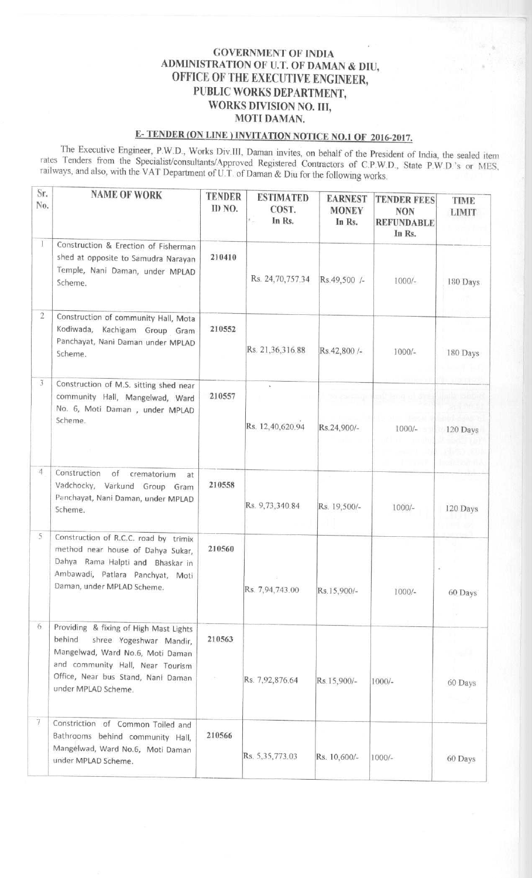## GOVERNMENT OF INDIA ADMINISTRATION OF U.T. OF DAMAN & DIU, OFFICE OF THE EXECUTIVE ENGINEER, PUBLIC WORKS DEPARTMENT, WORKS DIVISION NO. III, MOTI DAMAN.

## E- TENDER (ON LINE) INVITATION NOTICE NO I OF 2016-2017 **.**

The Executive Engineer, P.W.D , Works Div.111. Daman invites, on behalf of the President of India, the sealed item rates Tenders from the Specialist/consultants/Approved Registered Contractors of C.P.W.D., State P W D 's or MFS railways, and also, with the VAT Department of U.T. of Daman & Diu for the following works.

| Sr.<br>No.     | <b>NAME OF WORK</b>                                                                                                                                                                                              | <b>TENDER</b><br>ID NO. | <b>ESTIMATED</b><br>COST.<br>In Rs.<br>$\epsilon_{\scriptscriptstyle C}$ | <b>EARNEST</b><br><b>MONEY</b><br>In Rs. | <b>TENDER FEES</b><br><b>NON</b><br><b>REFUNDABLE</b><br>In Rs. | <b>TIME</b><br><b>LIMIT</b> |
|----------------|------------------------------------------------------------------------------------------------------------------------------------------------------------------------------------------------------------------|-------------------------|--------------------------------------------------------------------------|------------------------------------------|-----------------------------------------------------------------|-----------------------------|
|                | Construction & Erection of Fisherman<br>shed at opposite to Samudra Narayan<br>Temple, Nani Daman, under MPLAD<br>Scheme.                                                                                        | 210410                  | Rs. 24, 70, 757.34                                                       | Rs.49,500 /-                             | $1000/-$                                                        | 180 Days                    |
| $\overline{2}$ | Construction of community Hall, Mota<br>Kodiwada, Kachigam Group Gram<br>Panchayat, Nani Daman under MPLAD<br>Scheme.                                                                                            | 210552                  | Rs. 21,36,316.88                                                         | Rs.42,800 /-                             | $1000/-$                                                        | 180 Days                    |
| 3              | Construction of M.S. sitting shed near<br>community Hall, Mangelwad, Ward<br>No. 6, Moti Daman, under MPLAD<br>Scheme.                                                                                           | 210557                  | ×<br>Rs. 12,40,620.94                                                    | Rs.24,900/-                              | $1000/-$                                                        | 120 Days                    |
| 4.             | Construction<br>of<br>crematorium<br>at<br>Vadchocky, Varkund Group Gram<br>Panchayat, Nani Daman, under MPLAD<br>Scheme.                                                                                        | 210558                  | Rs. 9,73,340.84                                                          | Rs. 19,500/-                             | $1000/-$                                                        | 120 Days                    |
| 5              | Construction of R.C.C. road by trimix<br>method near house of Dahya Sukar,<br>Dahya Rama Halpti and Bhaskar in<br>Ambawadi, Patlara Panchyat, Moti<br>Daman, under MPLAD Scheme.                                 | 210560                  | Rs. 7,94,743.00                                                          | Rs.15,900/-                              | $1000/-$                                                        | 60 Days                     |
| 6.             | Providing & fixing of High Mast Lights<br>behind<br>shree Yogeshwar Mandir,<br>Mangelwad, Ward No.6, Moti Daman<br>and community Hall, Near Tourism<br>Office, Near bus Stand, Nani Daman<br>under MPLAD Scheme. | 210563                  | Rs. 7,92,876.64                                                          | Rs.15,900/-                              | $1000/-$                                                        | 60 Days                     |
| 7              | Constriction of Common Toiled and<br>Bathrooms behind community Hall,<br>Mangelwad, Ward No.6, Moti Daman<br>under MPLAD Scheme.                                                                                 | 210566                  | Rs. 5,35,773.03                                                          | Rs. 10,600/-                             | $1000/-$                                                        | 60 Days                     |